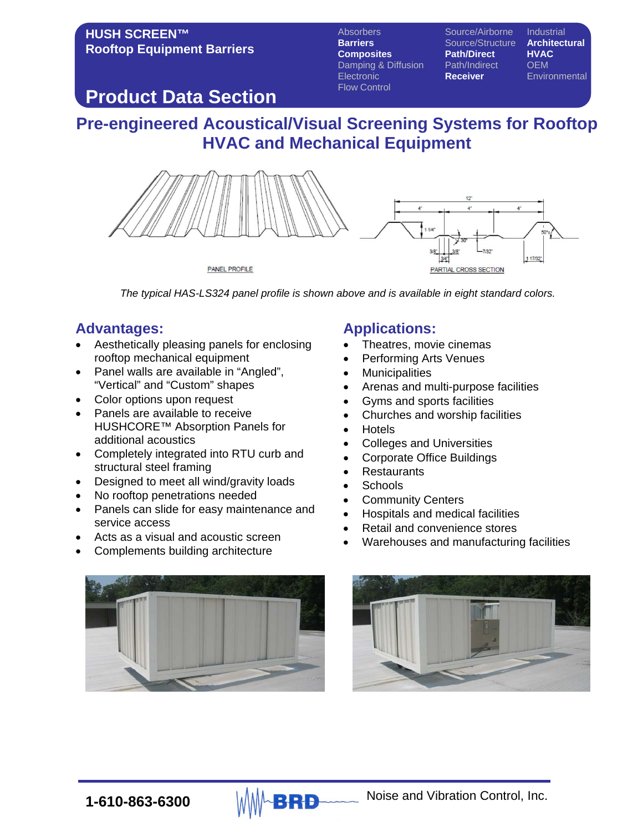### **HUSH SCREEN™ Rooftop Equipment Barriers**

**Barriers** Source/Structure **Architectural**<br> **Composites** Path/Direct HVAC **Composites Path/Direct HVAC** Damping & Diffusion Path/Indire<br>Electronic **Receiver** Flow Control

Absorbers Source/Airborne Industrial

**Environmental** 

# **Product Data Section**

# **Pre-engineered Acoustical/Visual Screening Systems for Rooftop HVAC and Mechanical Equipment**



*The typical HAS-LS324 panel profile is shown above and is available in eight standard colors.*

## **Advantages:**

- Aesthetically pleasing panels for enclosing rooftop mechanical equipment
- Panel walls are available in "Angled", "Vertical" and "Custom" shapes
- Color options upon request
- Panels are available to receive HUSHCORE™ Absorption Panels for additional acoustics
- Completely integrated into RTU curb and structural steel framing
- Designed to meet all wind/gravity loads
- No rooftop penetrations needed
- Panels can slide for easy maintenance and service access
- Acts as a visual and acoustic screen
- Complements building architecture

### **Applications:**

- Theatres, movie cinemas
- Performing Arts Venues
- **Municipalities**
- Arenas and multi-purpose facilities
- Gyms and sports facilities
- Churches and worship facilities
- Hotels
- Colleges and Universities
- Corporate Office Buildings
- **Restaurants**
- Schools
- **Community Centers**
- Hospitals and medical facilities
- Retail and convenience stores
- Warehouses and manufacturing facilities



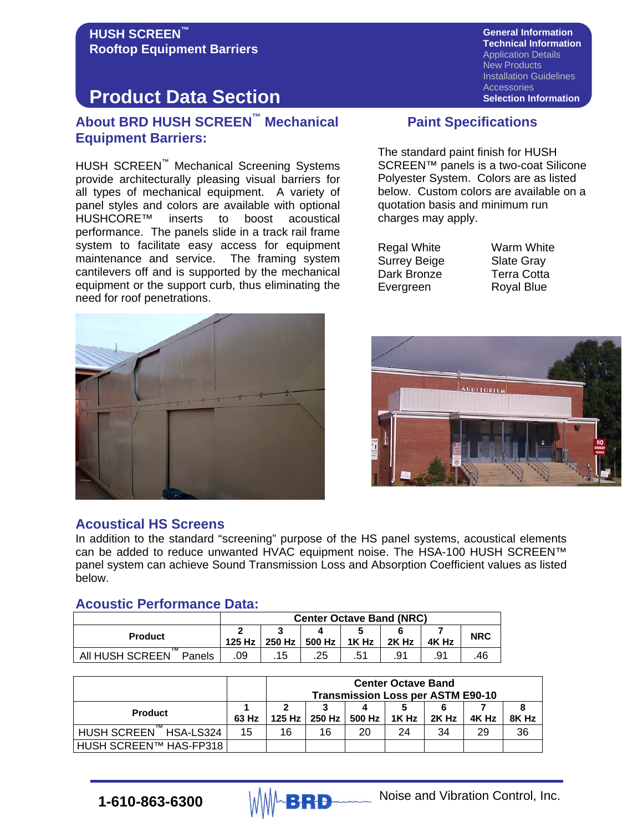#### **HUSH SCREEN™ Rooftop Equipment Barriers**

# **Product Data Section**

### **About BRD HUSH SCREEN™ Mechanical Equipment Barriers:**

HUSH SCREEN™ Mechanical Screening Systems provide architecturally pleasing visual barriers for all types of mechanical equipment. A variety of panel styles and colors are available with optional<br>HUSHCORE<sup>TM</sup> inserts to boost acoustical inserts to boost acoustical performance. The panels slide in a track rail frame system to facilitate easy access for equipment maintenance and service. The framing system cantilevers off and is supported by the mechanical equipment or the support curb, thus eliminating the need for roof penetrations.



**General Information Technical Information** Application Details New Products Installation Guidelines **Accessories Selection Information**

### **Paint Specifications**

The standard paint finish for HUSH SCREEN™ panels is a two-coat Silicone Polyester System. Colors are as listed below. Custom colors are available on a quotation basis and minimum run charges may apply.

Regal White **Warm White** Surrey Beige Slate Gray Dark Bronze **Terra Cotta** Evergreen Royal Blue



#### **Acoustical HS Screens**

In addition to the standard "screening" purpose of the HS panel systems, acoustical elements can be added to reduce unwanted HVAC equipment noise. The HSA-100 HUSH SCREEN™ panel system can achieve Sound Transmission Loss and Absorption Coefficient values as listed below.

### **Acoustic Performance Data:**

|                           | <b>Center Octave Band (NRC)</b> |        |        |       |       |       |            |  |  |  |
|---------------------------|---------------------------------|--------|--------|-------|-------|-------|------------|--|--|--|
| <b>Product</b>            | 125 Hz                          | 250 Hz | 500 Hz | 1K Hz | 2K Hz | 4K Hz | <b>NRC</b> |  |  |  |
| All HUSH SCREEN<br>Panels | .09                             | .15    | .25    | .51   | .91   | .91   | .46        |  |  |  |

|                        |       | <b>Center Octave Band</b><br><b>Transmission Loss per ASTM E90-10</b> |    |                          |       |       |       |       |  |  |
|------------------------|-------|-----------------------------------------------------------------------|----|--------------------------|-------|-------|-------|-------|--|--|
| <b>Product</b>         | 63 Hz | 2                                                                     |    | 125 Hz   250 Hz   500 Hz | 1K Hz | 2K Hz | 4K Hz | 8K Hz |  |  |
| HUSH SCREEN HSA-LS324  | 15    | 16                                                                    | 16 | 20                       | 24    | 34    | 29    | 36    |  |  |
| HUSH SCREEN™ HAS-FP318 |       |                                                                       |    |                          |       |       |       |       |  |  |